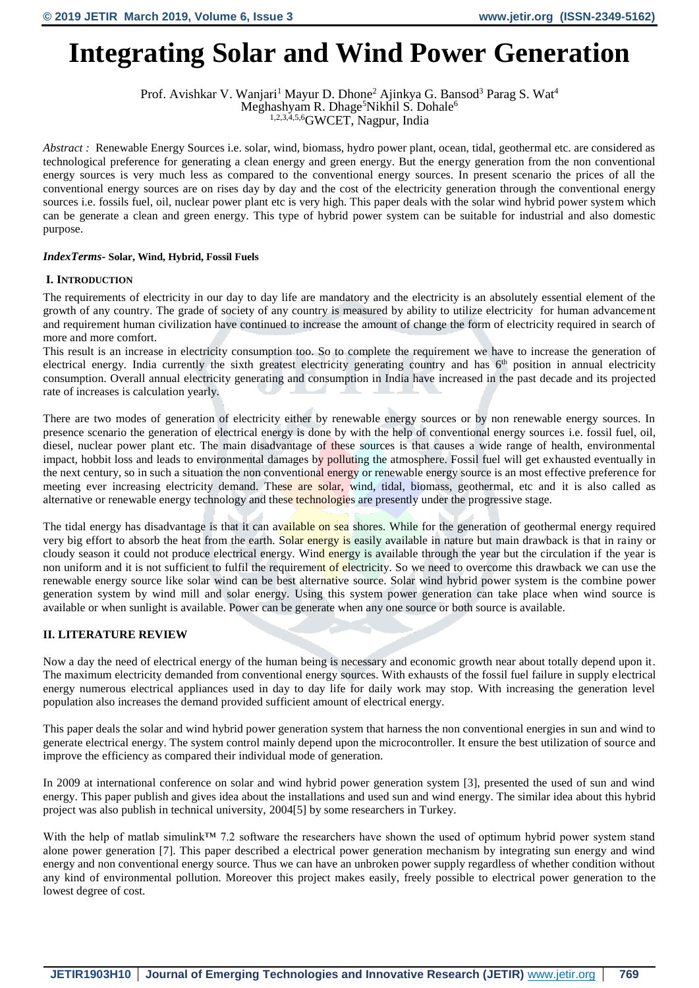# **Integrating Solar and Wind Power Generation**

Prof. Avishkar V. Wanjari<sup>1</sup> Mayur D. Dhone<sup>2</sup> Ajinkya G. Bansod<sup>3</sup> Parag S. Wat<sup>4</sup> Meghashyam R. Dhage<sup>5</sup>Nikhil S. Dohale<sup>6</sup> 1,2,3,4,5,6GWCET, Nagpur, India

*Abstract* : Renewable Energy Sources i.e. solar, wind, biomass, hydro power plant, ocean, tidal, geothermal etc. are considered as technological preference for generating a clean energy and green energy. But the energy generation from the non conventional energy sources is very much less as compared to the conventional energy sources. In present scenario the prices of all the conventional energy sources are on rises day by day and the cost of the electricity generation through the conventional energy sources i.e. fossils fuel, oil, nuclear power plant etc is very high. This paper deals with the solar wind hybrid power system which can be generate a clean and green energy. This type of hybrid power system can be suitable for industrial and also domestic purpose.

# *IndexTerms-* **Solar, Wind, Hybrid, Fossil Fuels**

## **I. INTRODUCTION**

The requirements of electricity in our day to day life are mandatory and the electricity is an absolutely essential element of the growth of any country. The grade of society of any country is measured by ability to utilize electricity for human advancement and requirement human civilization have continued to increase the amount of change the form of electricity required in search of more and more comfort.

This result is an increase in electricity consumption too. So to complete the requirement we have to increase the generation of electrical energy. India currently the sixth greatest electricity generating country and has  $6<sup>th</sup>$  position in annual electricity consumption. Overall annual electricity generating and consumption in India have increased in the past decade and its projected rate of increases is calculation yearly.

There are two modes of generation of electricity either by renewable energy sources or by non renewable energy sources. In presence scenario the generation of electrical energy is done by with the help of conventional energy sources i.e. fossil fuel, oil, diesel, nuclear power plant etc. The main disadvantage of these sources is that causes a wide range of health, environmental impact, hobbit loss and leads to environmental damages by polluting the atmosphere. Fossil fuel will get exhausted eventually in the next century, so in such a situation the non conventional energy or renewable energy source is an most effective preference for meeting ever increasing electricity demand. These are solar, wind, tidal, biomass, geothermal, etc and it is also called as alternative or renewable energy technology and these technologies are presently under the progressive stage.

The tidal energy has disadvantage is that it can available on sea shores. While for the generation of geothermal energy required very big effort to absorb the heat from the earth. Solar energy is easily available in nature but main drawback is that in rainy or cloudy season it could not produce electrical energy. Wind energy is available through the year but the circulation if the year is non uniform and it is not sufficient to fulfil the requirement of electricity. So we need to overcome this drawback we can use the renewable energy source like solar wind can be best alternative source. Solar wind hybrid power system is the combine power generation system by wind mill and solar energy. Using this system power generation can take place when wind source is available or when sunlight is available. Power can be generate when any one source or both source is available.

# **II. LITERATURE REVIEW**

Now a day the need of electrical energy of the human being is necessary and economic growth near about totally depend upon it. The maximum electricity demanded from conventional energy sources. With exhausts of the fossil fuel failure in supply electrical energy numerous electrical appliances used in day to day life for daily work may stop. With increasing the generation level population also increases the demand provided sufficient amount of electrical energy.

This paper deals the solar and wind hybrid power generation system that harness the non conventional energies in sun and wind to generate electrical energy. The system control mainly depend upon the microcontroller. It ensure the best utilization of source and improve the efficiency as compared their individual mode of generation.

In 2009 at international conference on solar and wind hybrid power generation system [3], presented the used of sun and wind energy. This paper publish and gives idea about the installations and used sun and wind energy. The similar idea about this hybrid project was also publish in technical university, 2004[5] by some researchers in Turkey.

With the help of matlab simulink™ 7.2 software the researchers have shown the used of optimum hybrid power system stand alone power generation [7]. This paper described a electrical power generation mechanism by integrating sun energy and wind energy and non conventional energy source. Thus we can have an unbroken power supply regardless of whether condition without any kind of environmental pollution. Moreover this project makes easily, freely possible to electrical power generation to the lowest degree of cost.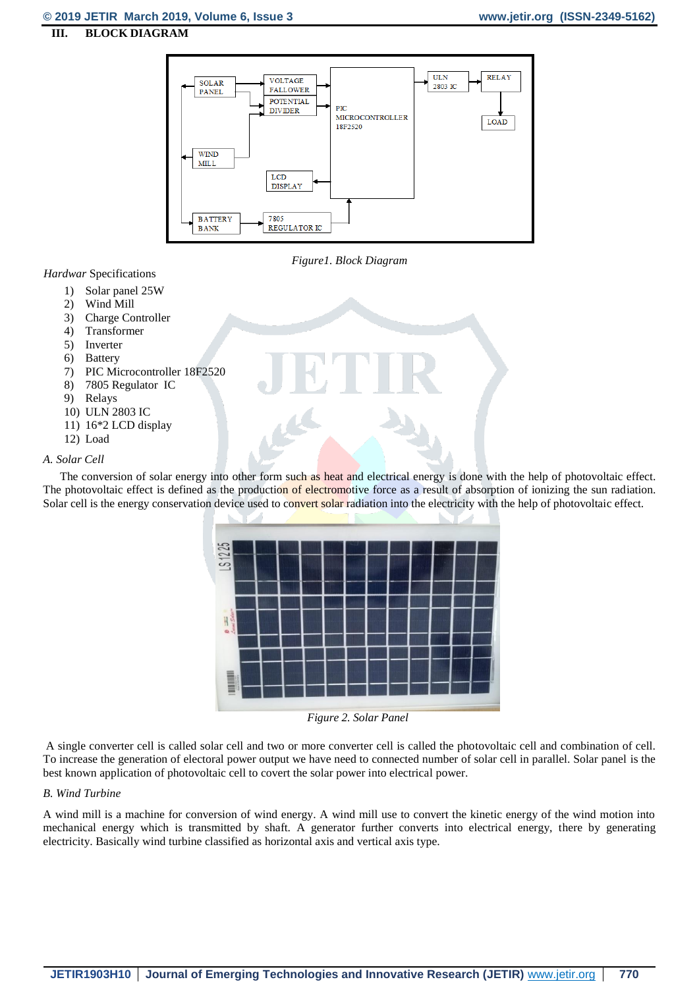#### **III. BLOCK DIAGRAM**



*Figure1. Block Diagram* 

### *Hardwar* Specifications

- 1) Solar panel 25W
- 2) Wind Mill
- 3) Charge Controller
- 4) Transformer
- 5) Inverter
- 6) Battery
- 7) PIC Microcontroller 18F2520
- 8) 7805 Regulator IC
- 9) Relays
- 10) ULN 2803 IC
- 11) 16\*2 LCD display
- 12) Load

### *A. Solar Cell*

The conversion of solar energy into other form such as heat and electrical energy is done with the help of photovoltaic effect. The photovoltaic effect is defined as the production of electromotive force as a result of absorption of ionizing the sun radiation. Solar cell is the energy conservation device used to convert solar radiation into the electricity with the help of photovoltaic effect.



*Figure 2. Solar Panel*

A single converter cell is called solar cell and two or more converter cell is called the photovoltaic cell and combination of cell. To increase the generation of electoral power output we have need to connected number of solar cell in parallel. Solar panel is the best known application of photovoltaic cell to covert the solar power into electrical power.

#### *B. Wind Turbine*

A wind mill is a machine for conversion of wind energy. A wind mill use to convert the kinetic energy of the wind motion into mechanical energy which is transmitted by shaft. A generator further converts into electrical energy, there by generating electricity. Basically wind turbine classified as horizontal axis and vertical axis type.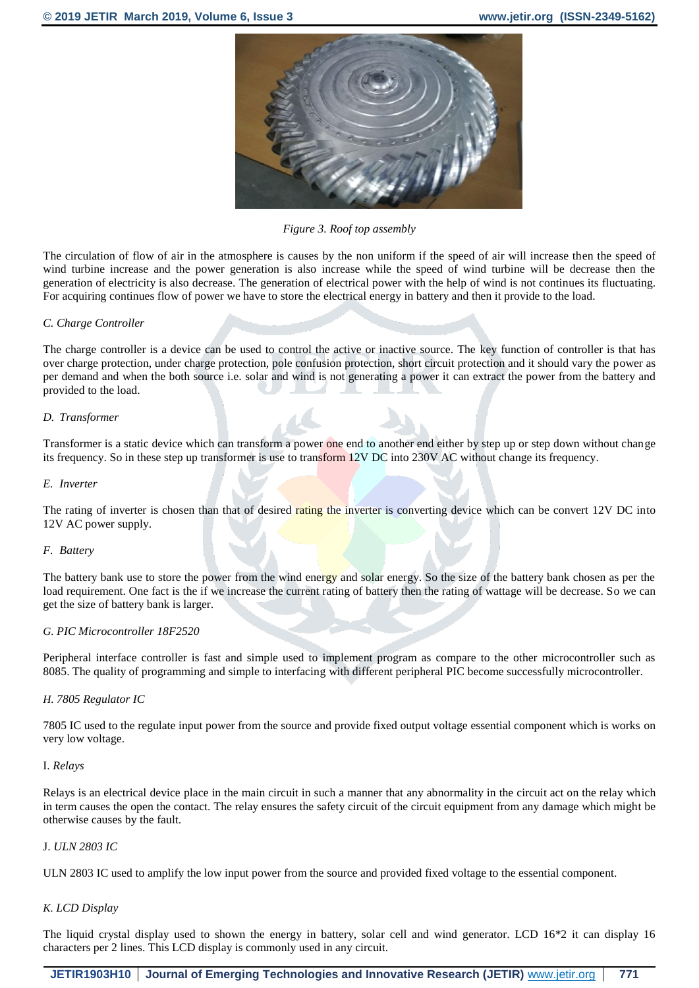

*Figure 3. Roof top assembly*

The circulation of flow of air in the atmosphere is causes by the non uniform if the speed of air will increase then the speed of wind turbine increase and the power generation is also increase while the speed of wind turbine will be decrease then the generation of electricity is also decrease. The generation of electrical power with the help of wind is not continues its fluctuating. For acquiring continues flow of power we have to store the electrical energy in battery and then it provide to the load.

#### *C. Charge Controller*

The charge controller is a device can be used to control the active or inactive source. The key function of controller is that has over charge protection, under charge protection, pole confusion protection, short circuit protection and it should vary the power as per demand and when the both source i.e. solar and wind is not generating a power it can extract the power from the battery and provided to the load.

#### *D. Transformer*

Transformer is a static device which can transform a power one end to another end either by step up or step down without change its frequency. So in these step up transformer is use to transform 12V DC into 230V AC without change its frequency.

#### *E. Inverter*

The rating of inverter is chosen than that of desired rating the inverter is converting device which can be convert 12V DC into 12V AC power supply.

#### *F. Battery*

The battery bank use to store the power from the wind energy and solar energy. So the size of the battery bank chosen as per the load requirement. One fact is the if we increase the current rating of battery then the rating of wattage will be decrease. So we can get the size of battery bank is larger.

#### *G. PIC Microcontroller 18F2520*

Peripheral interface controller is fast and simple used to implement program as compare to the other microcontroller such as 8085. The quality of programming and simple to interfacing with different peripheral PIC become successfully microcontroller.

#### *H. 7805 Regulator IC*

7805 IC used to the regulate input power from the source and provide fixed output voltage essential component which is works on very low voltage.

#### I. *Relays*

Relays is an electrical device place in the main circuit in such a manner that any abnormality in the circuit act on the relay which in term causes the open the contact. The relay ensures the safety circuit of the circuit equipment from any damage which might be otherwise causes by the fault.

#### J. *ULN 2803 IC*

ULN 2803 IC used to amplify the low input power from the source and provided fixed voltage to the essential component.

#### *K. LCD Display*

The liquid crystal display used to shown the energy in battery, solar cell and wind generator. LCD 16\*2 it can display 16 characters per 2 lines. This LCD display is commonly used in any circuit.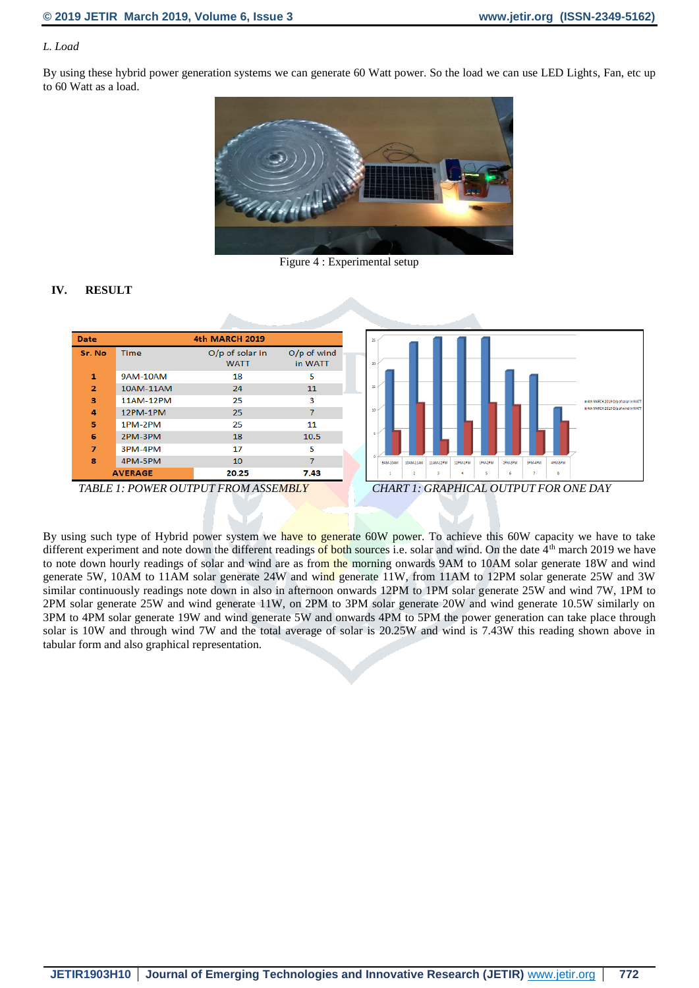# *L. Load*

By using these hybrid power generation systems we can generate 60 Watt power. So the load we can use LED Lights, Fan, etc up to 60 Watt as a load.



Figure 4 : Experimental setup

# **IV. RESULT**

| <b>Date</b>    |                | <b>4th MARCH 2019</b>            |                          |
|----------------|----------------|----------------------------------|--------------------------|
| Sr. No         | Time           | $O/p$ of solar in<br><b>WATT</b> | $O/p$ of wind<br>in WATT |
| $\mathbf{1}$   | 9AM-10AM       | 18                               | 5                        |
| $\overline{2}$ | 10AM-11AM      | 24                               | 11                       |
| з              | 11AM-12PM      | 25                               | 3                        |
| 4              | 12PM-1PM       | 25                               | 7                        |
| 5              | 1PM-2PM        | 25                               | 11                       |
| 6              | 2PM-3PM        | 18                               | 10.5                     |
| 7              | 3PM-4PM        | 17                               | 5                        |
| 8              | 4PM-5PM        | 10                               | 7                        |
|                | <b>AVERAGE</b> | 20.25                            | 7.43                     |
| ---            |                |                                  |                          |



By using such type of Hybrid power system we have to generate 60W power. To achieve this 60W capacity we have to take different experiment and note down the different readings of both sources i.e. solar and wind. On the date  $4<sup>th</sup>$  march 2019 we have to note down hourly readings of solar and wind are as from the morning onwards 9AM to 10AM solar generate 18W and wind generate 5W, 10AM to 11AM solar generate 24W and wind generate 11W, from 11AM to 12PM solar generate 25W and 3W similar continuously readings note down in also in afternoon onwards 12PM to 1PM solar generate 25W and wind 7W, 1PM to 2PM solar generate 25W and wind generate 11W, on 2PM to 3PM solar generate 20W and wind generate 10.5W similarly on 3PM to 4PM solar generate 19W and wind generate 5W and onwards 4PM to 5PM the power generation can take place through solar is 10W and through wind 7W and the total average of solar is 20.25W and wind is 7.43W this reading shown above in tabular form and also graphical representation.